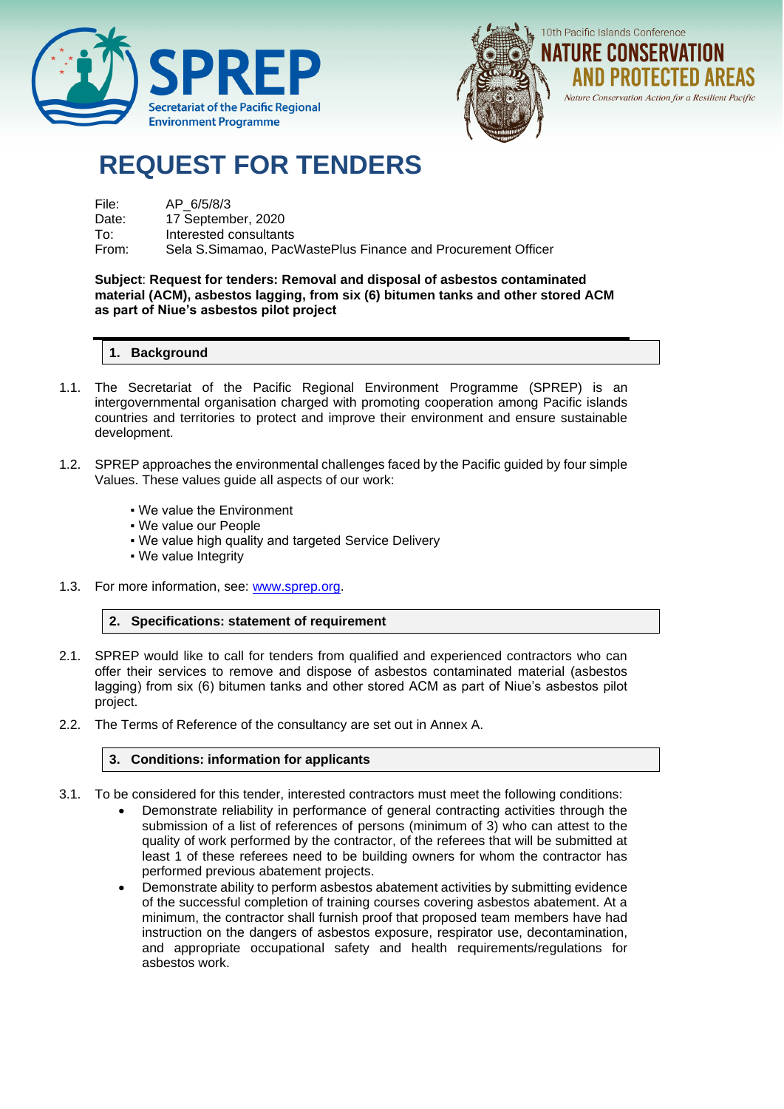



# **REQUEST FOR TENDERS**

| File: | AP 6/5/8/3                                                   |
|-------|--------------------------------------------------------------|
| Date: | 17 September, 2020                                           |
| To∶   | Interested consultants                                       |
| From: | Sela S.Simamao. PacWastePlus Finance and Procurement Officer |

#### **Subject**: **Request for tenders: Removal and disposal of asbestos contaminated material (ACM), asbestos lagging, from six (6) bitumen tanks and other stored ACM as part of Niue's asbestos pilot project**

## **1. Background**

- 1.1. The Secretariat of the Pacific Regional Environment Programme (SPREP) is an intergovernmental organisation charged with promoting cooperation among Pacific islands countries and territories to protect and improve their environment and ensure sustainable development.
- 1.2. SPREP approaches the environmental challenges faced by the Pacific guided by four simple Values. These values guide all aspects of our work:
	- We value the Environment
	- We value our People
	- . We value high quality and targeted Service Delivery
	- We value Integrity
- 1.3. For more information, see: [www.sprep.org.](http://www.sprep.org/)

#### **2. Specifications: statement of requirement**

- 2.1. SPREP would like to call for tenders from qualified and experienced contractors who can offer their services to remove and dispose of asbestos contaminated material (asbestos lagging) from six (6) bitumen tanks and other stored ACM as part of Niue's asbestos pilot project.
- 2.2. The Terms of Reference of the consultancy are set out in Annex A.

#### **3. Conditions: information for applicants**

- 3.1. To be considered for this tender, interested contractors must meet the following conditions:
	- Demonstrate reliability in performance of general contracting activities through the submission of a list of references of persons (minimum of 3) who can attest to the quality of work performed by the contractor, of the referees that will be submitted at least 1 of these referees need to be building owners for whom the contractor has performed previous abatement projects.
	- Demonstrate ability to perform asbestos abatement activities by submitting evidence of the successful completion of training courses covering asbestos abatement. At a minimum, the contractor shall furnish proof that proposed team members have had instruction on the dangers of asbestos exposure, respirator use, decontamination, and appropriate occupational safety and health requirements/regulations for asbestos work.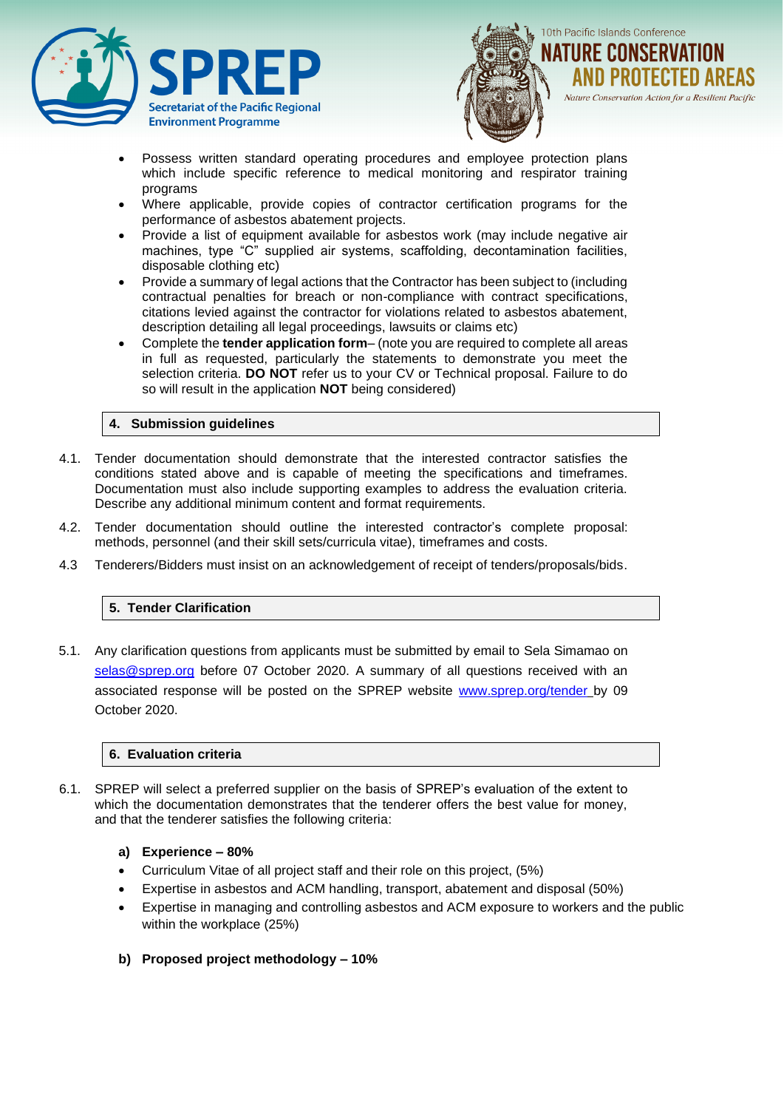



- Possess written standard operating procedures and employee protection plans which include specific reference to medical monitoring and respirator training programs
- Where applicable, provide copies of contractor certification programs for the performance of asbestos abatement projects.
- Provide a list of equipment available for asbestos work (may include negative air machines, type "C" supplied air systems, scaffolding, decontamination facilities, disposable clothing etc)
- Provide a summary of legal actions that the Contractor has been subject to (including contractual penalties for breach or non-compliance with contract specifications, citations levied against the contractor for violations related to asbestos abatement, description detailing all legal proceedings, lawsuits or claims etc)
- Complete the **tender application form** (note you are required to complete all areas in full as requested, particularly the statements to demonstrate you meet the selection criteria. **DO NOT** refer us to your CV or Technical proposal. Failure to do so will result in the application **NOT** being considered)

## **4. Submission guidelines**

- 4.1. Tender documentation should demonstrate that the interested contractor satisfies the conditions stated above and is capable of meeting the specifications and timeframes. Documentation must also include supporting examples to address the evaluation criteria. Describe any additional minimum content and format requirements.
- 4.2. Tender documentation should outline the interested contractor's complete proposal: methods, personnel (and their skill sets/curricula vitae), timeframes and costs.
- 4.3 Tenderers/Bidders must insist on an acknowledgement of receipt of tenders/proposals/bids.

#### **5. Tender Clarification**

5.1. Any clarification questions from applicants must be submitted by email to Sela Simamao on [selas@sprep.org](mailto:selas@sprep.org) before 07 October 2020. A summary of all questions received with an associated response will be posted on the SPREP website [www.sprep.org/tender](http://www.sprep.org/tender) by 09 October 2020.

#### **6. Evaluation criteria**

- 6.1. SPREP will select a preferred supplier on the basis of SPREP's evaluation of the extent to which the documentation demonstrates that the tenderer offers the best value for money, and that the tenderer satisfies the following criteria:
	- **a) Experience – 80%**
	- Curriculum Vitae of all project staff and their role on this project, (5%)
	- Expertise in asbestos and ACM handling, transport, abatement and disposal (50%)
	- Expertise in managing and controlling asbestos and ACM exposure to workers and the public within the workplace (25%)
	- **b) Proposed project methodology – 10%**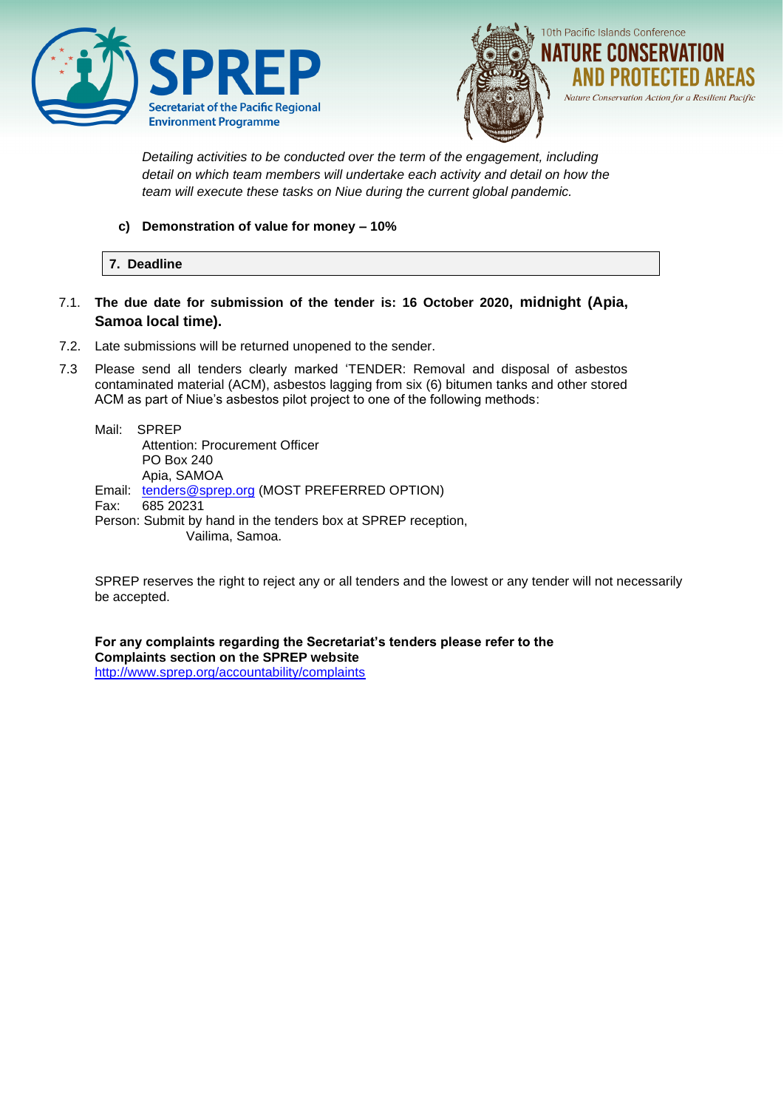



*Detailing activities to be conducted over the term of the engagement, including detail on which team members will undertake each activity and detail on how the team will execute these tasks on Niue during the current global pandemic.* 

#### **c) Demonstration of value for money – 10%**

#### **7. Deadline**

- 7.1. **The due date for submission of the tender is: 16 October 2020, midnight (Apia, Samoa local time).**
- 7.2. Late submissions will be returned unopened to the sender.
- 7.3 Please send all tenders clearly marked 'TENDER: Removal and disposal of asbestos contaminated material (ACM), asbestos lagging from six (6) bitumen tanks and other stored ACM as part of Niue's asbestos pilot project to one of the following methods:

Mail: SPREP Attention: Procurement Officer PO Box 240 Apia, SAMOA Email: [tenders@sprep.org](mailto:tenders@sprep.org) (MOST PREFERRED OPTION) Fax: 685 20231 Person: Submit by hand in the tenders box at SPREP reception, Vailima, Samoa.

SPREP reserves the right to reject any or all tenders and the lowest or any tender will not necessarily be accepted.

**For any complaints regarding the Secretariat's tenders please refer to the Complaints section on the SPREP website**  <http://www.sprep.org/accountability/complaints>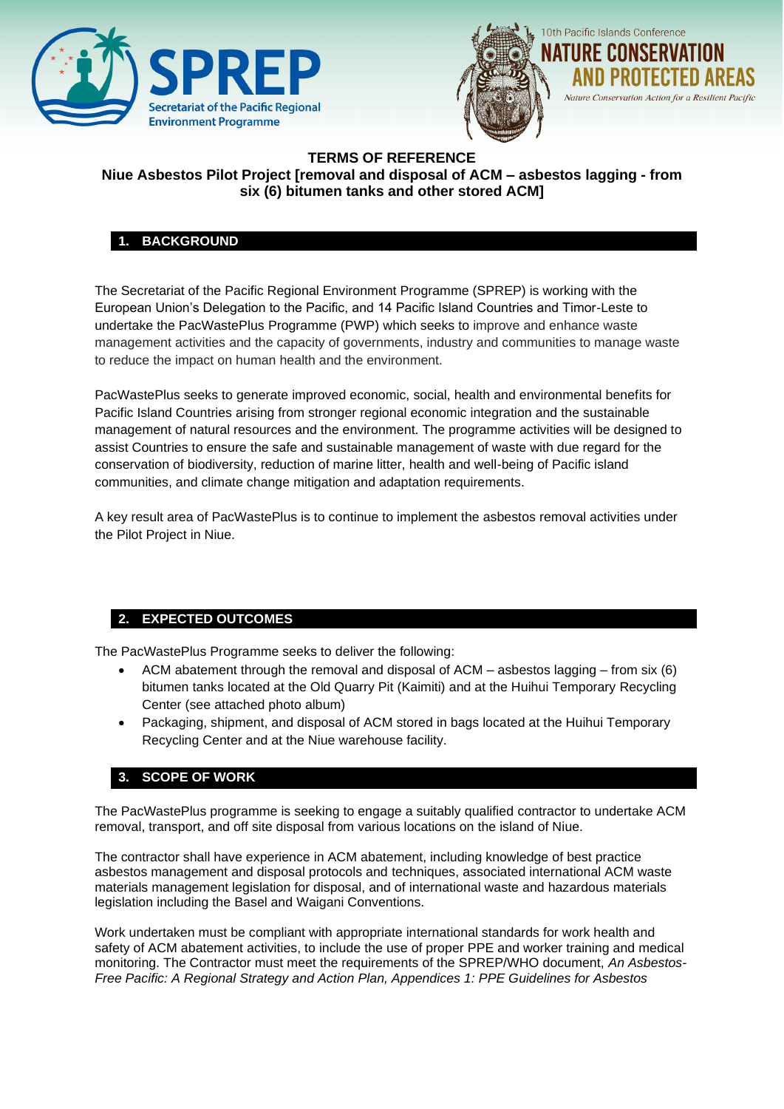



# **TERMS OF REFERENCE Niue Asbestos Pilot Project [removal and disposal of ACM – asbestos lagging - from six (6) bitumen tanks and other stored ACM]**

# **1. BACKGROUND**

The Secretariat of the Pacific Regional Environment Programme (SPREP) is working with the European Union's Delegation to the Pacific, and 14 Pacific Island Countries and Timor-Leste to undertake the PacWastePlus Programme (PWP) which seeks to improve and enhance waste management activities and the capacity of governments, industry and communities to manage waste to reduce the impact on human health and the environment.

PacWastePlus seeks to generate improved economic, social, health and environmental benefits for Pacific Island Countries arising from stronger regional economic integration and the sustainable management of natural resources and the environment. The programme activities will be designed to assist Countries to ensure the safe and sustainable management of waste with due regard for the conservation of biodiversity, reduction of marine litter, health and well-being of Pacific island communities, and climate change mitigation and adaptation requirements.

A key result area of PacWastePlus is to continue to implement the asbestos removal activities under the Pilot Project in Niue.

# **2. EXPECTED OUTCOMES**

The PacWastePlus Programme seeks to deliver the following:

- ACM abatement through the removal and disposal of ACM asbestos lagging from six (6) bitumen tanks located at the Old Quarry Pit (Kaimiti) and at the Huihui Temporary Recycling Center (see attached photo album)
- Packaging, shipment, and disposal of ACM stored in bags located at the Huihui Temporary Recycling Center and at the Niue warehouse facility.

#### **3. SCOPE OF WORK**

The PacWastePlus programme is seeking to engage a suitably qualified contractor to undertake ACM removal, transport, and off site disposal from various locations on the island of Niue.

The contractor shall have experience in ACM abatement, including knowledge of best practice asbestos management and disposal protocols and techniques, associated international ACM waste materials management legislation for disposal, and of international waste and hazardous materials legislation including the Basel and Waigani Conventions.

Work undertaken must be compliant with appropriate international standards for work health and safety of ACM abatement activities, to include the use of proper PPE and worker training and medical monitoring. The Contractor must meet the requirements of the SPREP/WHO document, *An Asbestos-Free Pacific: A Regional Strategy and Action Plan, Appendices 1: PPE Guidelines for Asbestos*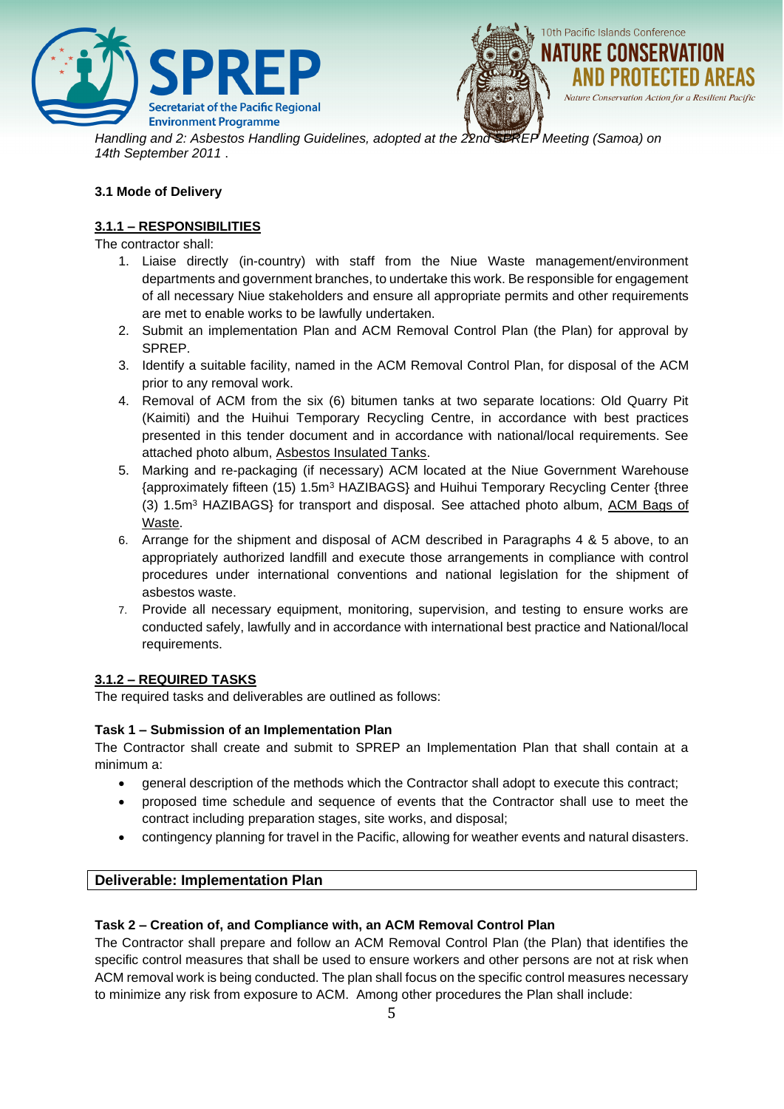



*Handling and 2: Asbestos Handling Guidelines, adopted at the 22nd SPREP Meeting (Samoa) on 14th September 2011* .

## **3.1 Mode of Delivery**

## **3.1.1 – RESPONSIBILITIES**

The contractor shall:

- 1. Liaise directly (in-country) with staff from the Niue Waste management/environment departments and government branches, to undertake this work. Be responsible for engagement of all necessary Niue stakeholders and ensure all appropriate permits and other requirements are met to enable works to be lawfully undertaken.
- 2. Submit an implementation Plan and ACM Removal Control Plan (the Plan) for approval by SPREP.
- 3. Identify a suitable facility, named in the ACM Removal Control Plan, for disposal of the ACM prior to any removal work.
- 4. Removal of ACM from the six (6) bitumen tanks at two separate locations: Old Quarry Pit (Kaimiti) and the Huihui Temporary Recycling Centre, in accordance with best practices presented in this tender document and in accordance with national/local requirements. See attached photo album, Asbestos Insulated Tanks.
- 5. Marking and re-packaging (if necessary) ACM located at the Niue Government Warehouse {approximately fifteen (15) 1.5m<sup>3</sup> HAZIBAGS} and Huihui Temporary Recycling Center {three (3) 1.5m<sup>3</sup> HAZIBAGS} for transport and disposal. See attached photo album, ACM Bags of Waste.
- 6. Arrange for the shipment and disposal of ACM described in Paragraphs 4 & 5 above, to an appropriately authorized landfill and execute those arrangements in compliance with control procedures under international conventions and national legislation for the shipment of asbestos waste.
- 7. Provide all necessary equipment, monitoring, supervision, and testing to ensure works are conducted safely, lawfully and in accordance with international best practice and National/local requirements.

#### **3.1.2 – REQUIRED TASKS**

The required tasks and deliverables are outlined as follows:

#### **Task 1 – Submission of an Implementation Plan**

The Contractor shall create and submit to SPREP an Implementation Plan that shall contain at a minimum a:

- general description of the methods which the Contractor shall adopt to execute this contract;
- proposed time schedule and sequence of events that the Contractor shall use to meet the contract including preparation stages, site works, and disposal;
- contingency planning for travel in the Pacific, allowing for weather events and natural disasters.

#### **Deliverable: Implementation Plan**

#### **Task 2 – Creation of, and Compliance with, an ACM Removal Control Plan**

The Contractor shall prepare and follow an ACM Removal Control Plan (the Plan) that identifies the specific control measures that shall be used to ensure workers and other persons are not at risk when ACM removal work is being conducted. The plan shall focus on the specific control measures necessary to minimize any risk from exposure to ACM. Among other procedures the Plan shall include: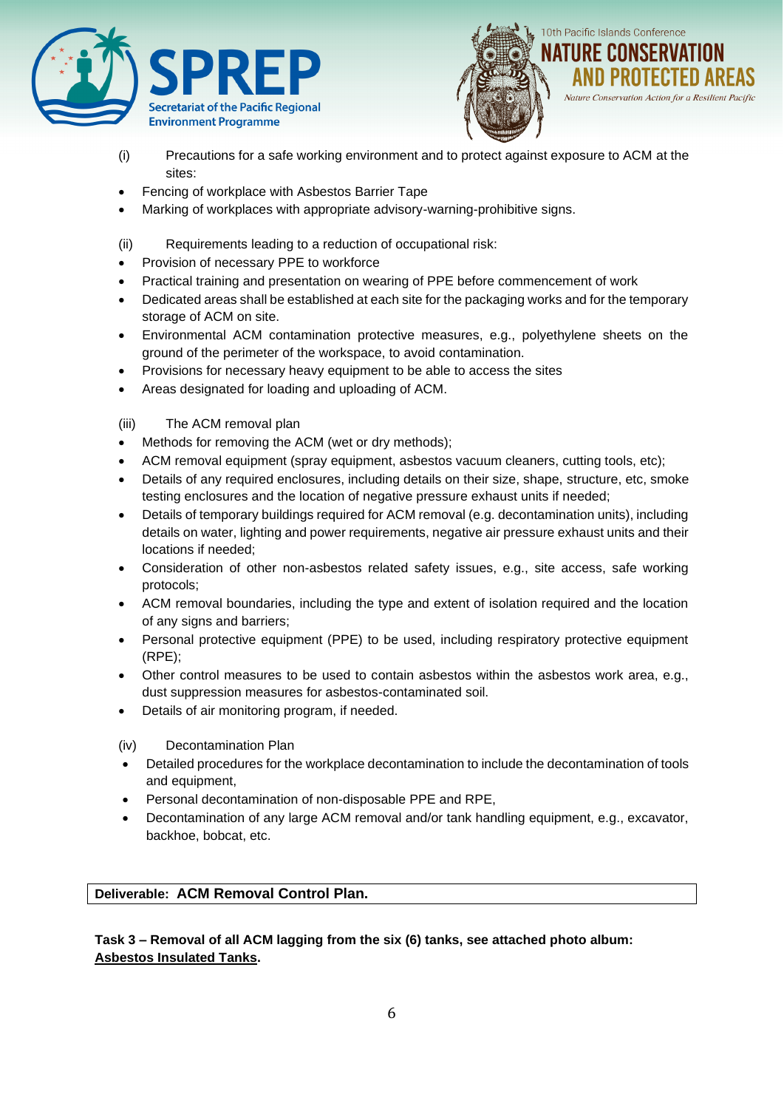



- (i) Precautions for a safe working environment and to protect against exposure to ACM at the sites:
- Fencing of workplace with Asbestos Barrier Tape
- Marking of workplaces with appropriate advisory-warning-prohibitive signs.
- (ii) Requirements leading to a reduction of occupational risk:
- Provision of necessary PPE to workforce
- Practical training and presentation on wearing of PPE before commencement of work
- Dedicated areas shall be established at each site for the packaging works and for the temporary storage of ACM on site.
- Environmental ACM contamination protective measures, e.g., polyethylene sheets on the ground of the perimeter of the workspace, to avoid contamination.
- Provisions for necessary heavy equipment to be able to access the sites
- Areas designated for loading and uploading of ACM.
- (iii) The ACM removal plan
- Methods for removing the ACM (wet or dry methods);
- ACM removal equipment (spray equipment, asbestos vacuum cleaners, cutting tools, etc);
- Details of any required enclosures, including details on their size, shape, structure, etc, smoke testing enclosures and the location of negative pressure exhaust units if needed;
- Details of temporary buildings required for ACM removal (e.g. decontamination units), including details on water, lighting and power requirements, negative air pressure exhaust units and their locations if needed;
- Consideration of other non-asbestos related safety issues, e.g., site access, safe working protocols;
- ACM removal boundaries, including the type and extent of isolation required and the location of any signs and barriers;
- Personal protective equipment (PPE) to be used, including respiratory protective equipment (RPE);
- Other control measures to be used to contain asbestos within the asbestos work area, e.g., dust suppression measures for asbestos-contaminated soil.
- Details of air monitoring program, if needed.
- (iv) Decontamination Plan
- Detailed procedures for the workplace decontamination to include the decontamination of tools and equipment,
- Personal decontamination of non-disposable PPE and RPE,
- Decontamination of any large ACM removal and/or tank handling equipment, e.g., excavator, backhoe, bobcat, etc.

# **Deliverable: ACM Removal Control Plan.**

**Task 3 – Removal of all ACM lagging from the six (6) tanks, see attached photo album: Asbestos Insulated Tanks.**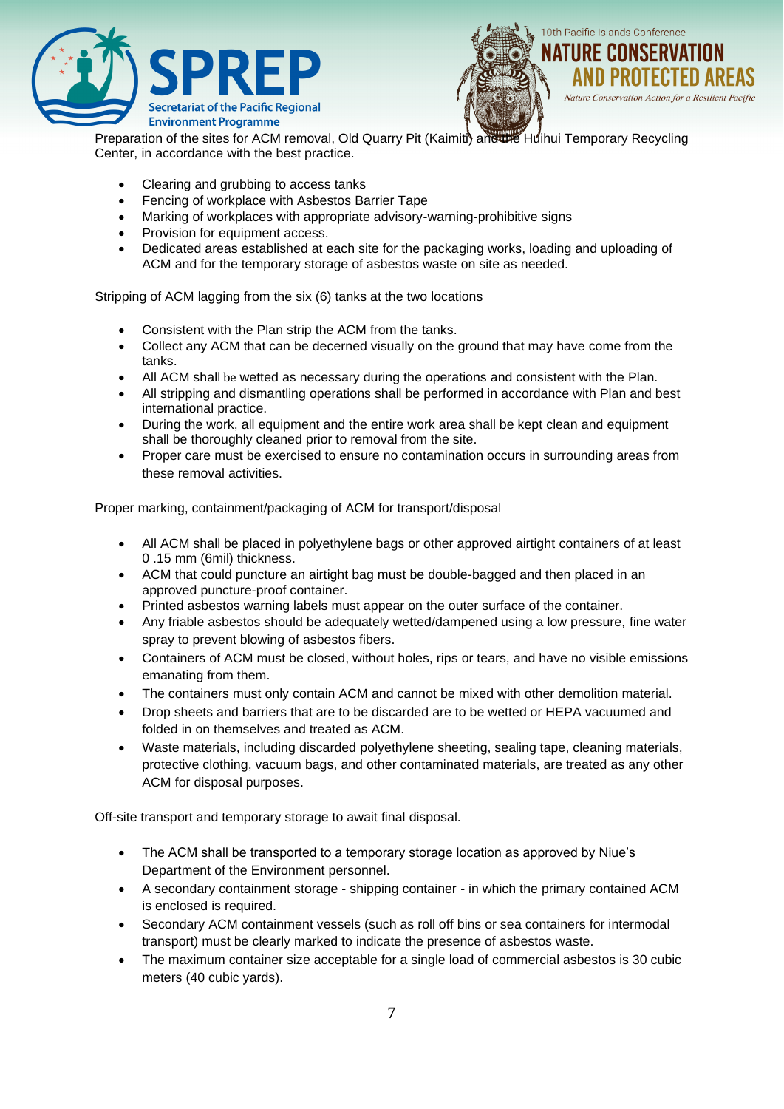



Preparation of the sites for ACM removal, Old Quarry Pit (Kaimiti) and the Huihui Temporary Recycling Center, in accordance with the best practice.

- Clearing and grubbing to access tanks
- Fencing of workplace with Asbestos Barrier Tape
- Marking of workplaces with appropriate advisory-warning-prohibitive signs
- Provision for equipment access.
- Dedicated areas established at each site for the packaging works, loading and uploading of ACM and for the temporary storage of asbestos waste on site as needed.

Stripping of ACM lagging from the six (6) tanks at the two locations

- Consistent with the Plan strip the ACM from the tanks.
- Collect any ACM that can be decerned visually on the ground that may have come from the tanks.
- All ACM shall be wetted as necessary during the operations and consistent with the Plan.
- All stripping and dismantling operations shall be performed in accordance with Plan and best international practice.
- During the work, all equipment and the entire work area shall be kept clean and equipment shall be thoroughly cleaned prior to removal from the site.
- Proper care must be exercised to ensure no contamination occurs in surrounding areas from these removal activities.

Proper marking, containment/packaging of ACM for transport/disposal

- All ACM shall be placed in polyethylene bags or other approved airtight containers of at least 0 .15 mm (6mil) thickness.
- ACM that could puncture an airtight bag must be double-bagged and then placed in an approved puncture-proof container.
- Printed asbestos warning labels must appear on the outer surface of the container.
- Any friable asbestos should be adequately wetted/dampened using a low pressure, fine water spray to prevent blowing of asbestos fibers.
- Containers of ACM must be closed, without holes, rips or tears, and have no visible emissions emanating from them.
- The containers must only contain ACM and cannot be mixed with other demolition material.
- Drop sheets and barriers that are to be discarded are to be wetted or HEPA vacuumed and folded in on themselves and treated as ACM.
- Waste materials, including discarded polyethylene sheeting, sealing tape, cleaning materials, protective clothing, vacuum bags, and other contaminated materials, are treated as any other ACM for disposal purposes.

Off-site transport and temporary storage to await final disposal.

- The ACM shall be transported to a temporary storage location as approved by Niue's Department of the Environment personnel.
- A secondary containment storage shipping container in which the primary contained ACM is enclosed is required.
- Secondary ACM containment vessels (such as roll off bins or sea containers for intermodal transport) must be clearly marked to indicate the presence of asbestos waste.
- The maximum container size acceptable for a single load of commercial asbestos is 30 cubic meters (40 cubic yards).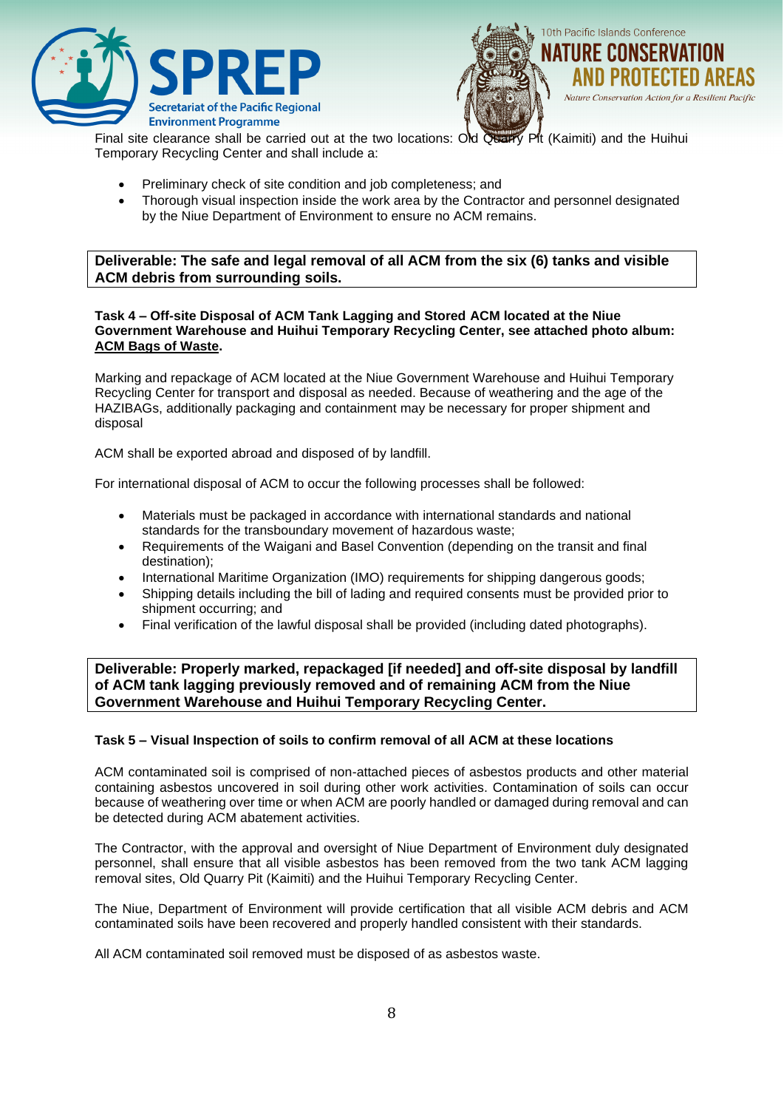



Final site clearance shall be carried out at the two locations: Old Quarry Pit (Kaimiti) and the Huihui Temporary Recycling Center and shall include a:

- Preliminary check of site condition and job completeness; and
- Thorough visual inspection inside the work area by the Contractor and personnel designated by the Niue Department of Environment to ensure no ACM remains.

**Deliverable: The safe and legal removal of all ACM from the six (6) tanks and visible ACM debris from surrounding soils.**

#### **Task 4 – Off-site Disposal of ACM Tank Lagging and Stored ACM located at the Niue Government Warehouse and Huihui Temporary Recycling Center, see attached photo album: ACM Bags of Waste.**

Marking and repackage of ACM located at the Niue Government Warehouse and Huihui Temporary Recycling Center for transport and disposal as needed. Because of weathering and the age of the HAZIBAGs, additionally packaging and containment may be necessary for proper shipment and disposal

ACM shall be exported abroad and disposed of by landfill.

For international disposal of ACM to occur the following processes shall be followed:

- Materials must be packaged in accordance with international standards and national standards for the transboundary movement of hazardous waste;
- Requirements of the Waigani and Basel Convention (depending on the transit and final destination);
- International Maritime Organization (IMO) requirements for shipping dangerous goods;
- Shipping details including the bill of lading and required consents must be provided prior to shipment occurring; and
- Final verification of the lawful disposal shall be provided (including dated photographs).

**Deliverable: Properly marked, repackaged [if needed] and off-site disposal by landfill of ACM tank lagging previously removed and of remaining ACM from the Niue Government Warehouse and Huihui Temporary Recycling Center.**

#### **Task 5 – Visual Inspection of soils to confirm removal of all ACM at these locations**

ACM contaminated soil is comprised of non-attached pieces of asbestos products and other material containing asbestos uncovered in soil during other work activities. Contamination of soils can occur because of weathering over time or when ACM are poorly handled or damaged during removal and can be detected during ACM abatement activities.

The Contractor, with the approval and oversight of Niue Department of Environment duly designated personnel, shall ensure that all visible asbestos has been removed from the two tank ACM lagging removal sites, Old Quarry Pit (Kaimiti) and the Huihui Temporary Recycling Center.

The Niue, Department of Environment will provide certification that all visible ACM debris and ACM contaminated soils have been recovered and properly handled consistent with their standards.

All ACM contaminated soil removed must be disposed of as asbestos waste.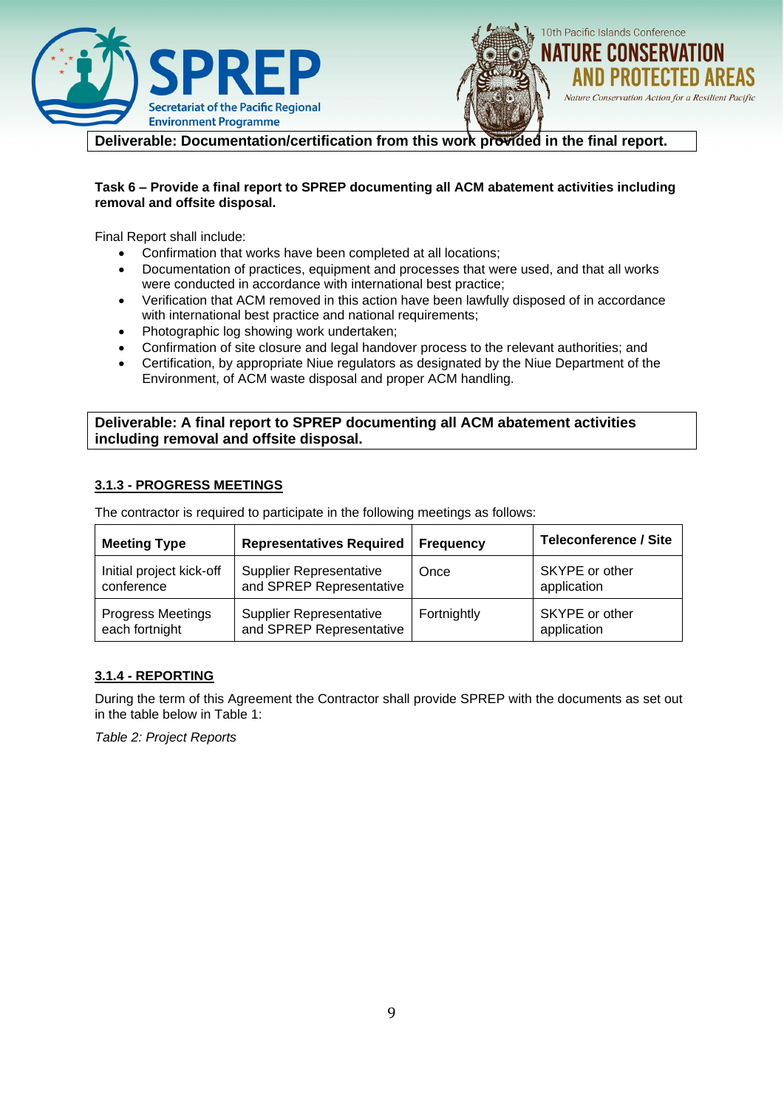



**Deliverable: Documentation/certification from this work provided in the final report.** 

#### **Task 6 – Provide a final report to SPREP documenting all ACM abatement activities including removal and offsite disposal.**

Final Report shall include:

- Confirmation that works have been completed at all locations;
- Documentation of practices, equipment and processes that were used, and that all works were conducted in accordance with international best practice;
- Verification that ACM removed in this action have been lawfully disposed of in accordance with international best practice and national requirements;
- Photographic log showing work undertaken;
- Confirmation of site closure and legal handover process to the relevant authorities; and
- Certification, by appropriate Niue regulators as designated by the Niue Department of the Environment, of ACM waste disposal and proper ACM handling.

### **Deliverable: A final report to SPREP documenting all ACM abatement activities including removal and offsite disposal.**

## **3.1.3 - PROGRESS MEETINGS**

| <b>Meeting Type</b>      | <b>Representatives Required</b> | <b>Frequency</b> | <b>Teleconference / Site</b> |
|--------------------------|---------------------------------|------------------|------------------------------|
| Initial project kick-off | <b>Supplier Representative</b>  | Once             | SKYPE or other               |
| conference               | and SPREP Representative        |                  | application                  |
| <b>Progress Meetings</b> | <b>Supplier Representative</b>  | Fortnightly      | SKYPE or other               |
| each fortnight           | and SPREP Representative        |                  | application                  |

The contractor is required to participate in the following meetings as follows:

#### **3.1.4 - REPORTING**

During the term of this Agreement the Contractor shall provide SPREP with the documents as set out in the table below in Table 1:

*Table 2: Project Reports*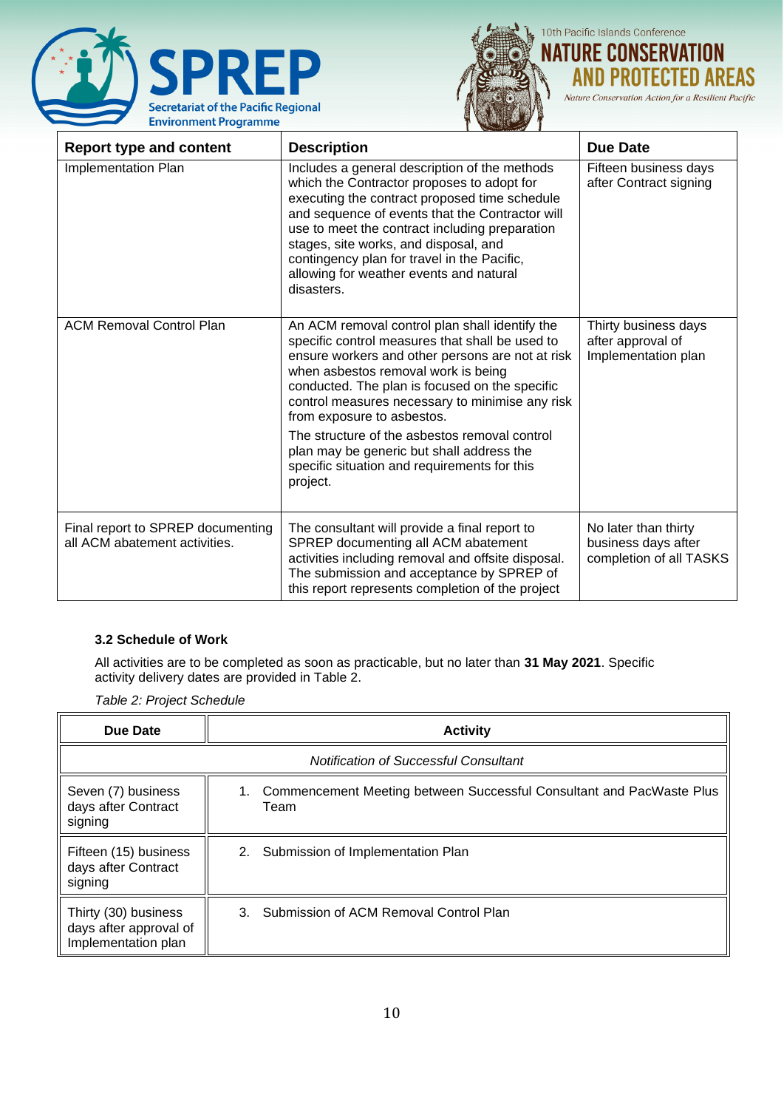



10th Pacific Islands Conference **NATURE CONSERVATION CTED AREAS** Al

Nature Conservation Action for a Resilient Pacific

| <b>Report type and content</b>                                     | <b>Description</b>                                                                                                                                                                                                                                                                                                                                                                                 | <b>Due Date</b>                                                        |
|--------------------------------------------------------------------|----------------------------------------------------------------------------------------------------------------------------------------------------------------------------------------------------------------------------------------------------------------------------------------------------------------------------------------------------------------------------------------------------|------------------------------------------------------------------------|
| Implementation Plan                                                | Includes a general description of the methods<br>which the Contractor proposes to adopt for<br>executing the contract proposed time schedule<br>and sequence of events that the Contractor will<br>use to meet the contract including preparation<br>stages, site works, and disposal, and<br>contingency plan for travel in the Pacific,<br>allowing for weather events and natural<br>disasters. | Fifteen business days<br>after Contract signing                        |
| <b>ACM Removal Control Plan</b>                                    | An ACM removal control plan shall identify the<br>specific control measures that shall be used to<br>ensure workers and other persons are not at risk<br>when asbestos removal work is being<br>conducted. The plan is focused on the specific<br>control measures necessary to minimise any risk<br>from exposure to asbestos.<br>The structure of the asbestos removal control                   | Thirty business days<br>after approval of<br>Implementation plan       |
|                                                                    | plan may be generic but shall address the<br>specific situation and requirements for this<br>project.                                                                                                                                                                                                                                                                                              |                                                                        |
| Final report to SPREP documenting<br>all ACM abatement activities. | The consultant will provide a final report to<br>SPREP documenting all ACM abatement<br>activities including removal and offsite disposal.<br>The submission and acceptance by SPREP of<br>this report represents completion of the project                                                                                                                                                        | No later than thirty<br>business days after<br>completion of all TASKS |

#### **3.2 Schedule of Work**

All activities are to be completed as soon as practicable, but no later than **31 May 2021**. Specific activity delivery dates are provided in Table 2.

*Table 2: Project Schedule*

| Due Date                                                              | <b>Activity</b>                                                                    |  |  |  |
|-----------------------------------------------------------------------|------------------------------------------------------------------------------------|--|--|--|
| Notification of Successful Consultant                                 |                                                                                    |  |  |  |
| Seven (7) business<br>days after Contract<br>signing                  | Commencement Meeting between Successful Consultant and PacWaste Plus<br>1.<br>Team |  |  |  |
| Fifteen (15) business<br>days after Contract<br>signing               | 2.<br>Submission of Implementation Plan                                            |  |  |  |
| Thirty (30) business<br>days after approval of<br>Implementation plan | 3. Submission of ACM Removal Control Plan                                          |  |  |  |